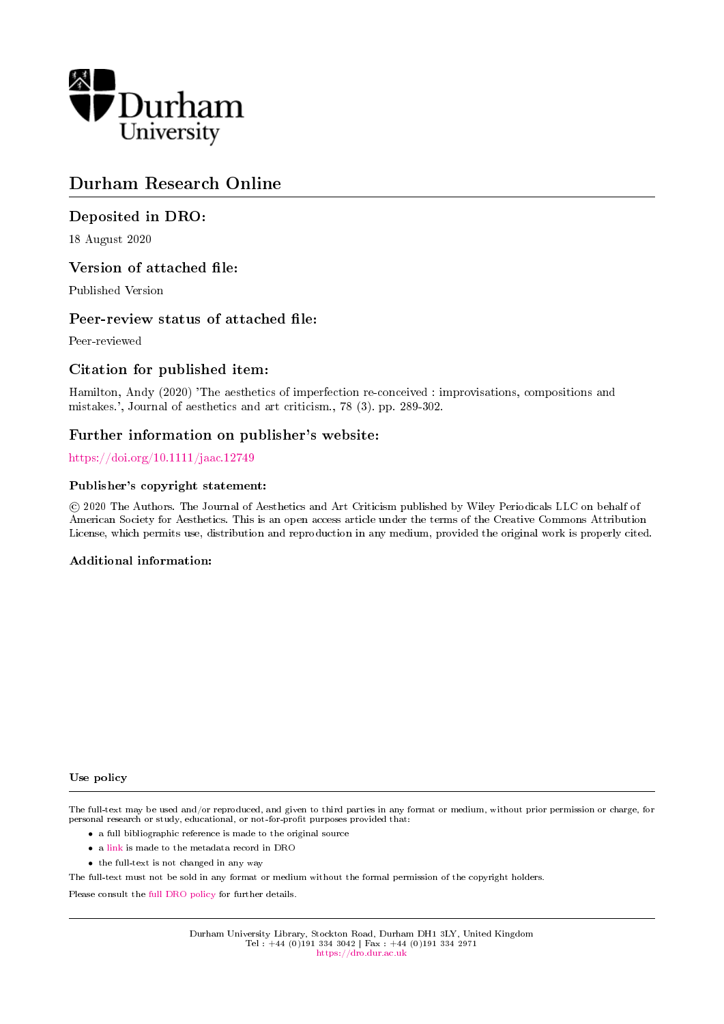

## Durham Research Online

### Deposited in DRO:

18 August 2020

### Version of attached file:

Published Version

### Peer-review status of attached file:

Peer-reviewed

### Citation for published item:

Hamilton, Andy (2020) 'The aesthetics of imperfection re-conceived : improvisations, compositions and mistakes.', Journal of aesthetics and art criticism., 78 (3). pp. 289-302.

### Further information on publisher's website:

<https://doi.org/10.1111/jaac.12749>

### Publisher's copyright statement:

 c 2020 The Authors. The Journal of Aesthetics and Art Criticism published by Wiley Periodicals LLC on behalf of American Society for Aesthetics. This is an open access article under the terms of the Creative Commons Attribution License, which permits use, distribution and reproduction in any medium, provided the original work is properly cited.

### Additional information:

#### Use policy

The full-text may be used and/or reproduced, and given to third parties in any format or medium, without prior permission or charge, for personal research or study, educational, or not-for-profit purposes provided that:

- a full bibliographic reference is made to the original source
- a [link](http://dro.dur.ac.uk/30254/) is made to the metadata record in DRO
- the full-text is not changed in any way

The full-text must not be sold in any format or medium without the formal permission of the copyright holders.

Please consult the [full DRO policy](https://dro.dur.ac.uk/policies/usepolicy.pdf) for further details.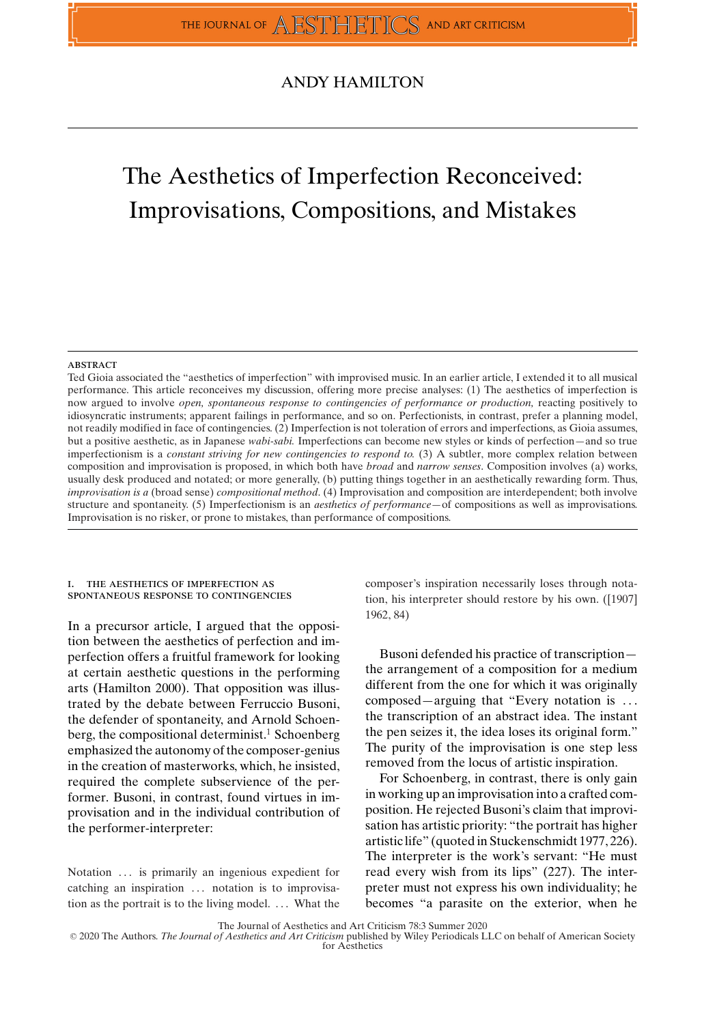### ANDY HAMILTON

# The Aesthetics of Imperfection Reconceived: Improvisations, Compositions, and Mistakes

#### **ABSTRACT**

Ted Gioia associated the "aesthetics of imperfection" with improvised music. In an earlier article, I extended it to all musical performance. This article reconceives my discussion, offering more precise analyses: (1) The aesthetics of imperfection is now argued to involve *open, spontaneous response to contingencies of performance or production,* reacting positively to idiosyncratic instruments; apparent failings in performance, and so on. Perfectionists, in contrast, prefer a planning model, not readily modified in face of contingencies. (2) Imperfection is not toleration of errors and imperfections, as Gioia assumes, but a positive aesthetic, as in Japanese *wabi-sabi.* Imperfections can become new styles or kinds of perfection—and so true imperfectionism is a *constant striving for new contingencies to respond to.* (3) A subtler, more complex relation between composition and improvisation is proposed, in which both have *broad* and *narrow senses*. Composition involves (a) works, usually desk produced and notated; or more generally, (b) putting things together in an aesthetically rewarding form. Thus, *improvisation is a* (broad sense) *compositional method*. (4) Improvisation and composition are interdependent; both involve structure and spontaneity. (5) Imperfectionism is an *aesthetics of performance*—of compositions as well as improvisations. Improvisation is no risker, or prone to mistakes, than performance of compositions.

#### i. the aesthetics of imperfection as spontaneous response to contingencies

In a precursor article, I argued that the opposition between the aesthetics of perfection and imperfection offers a fruitful framework for looking at certain aesthetic questions in the performing arts (Hamilton 2000). That opposition was illustrated by the debate between Ferruccio Busoni, the defender of spontaneity, and Arnold Schoenberg, the compositional determinist.<sup>1</sup> Schoenberg emphasized the autonomy of the composer-genius in the creation of masterworks, which, he insisted, required the complete subservience of the performer. Busoni, in contrast, found virtues in improvisation and in the individual contribution of the performer-interpreter:

Notation ... is primarily an ingenious expedient for catching an inspiration ... notation is to improvisation as the portrait is to the living model. . . . What the composer's inspiration necessarily loses through notation, his interpreter should restore by his own. ([1907] 1962, 84)

Busoni defended his practice of transcription the arrangement of a composition for a medium different from the one for which it was originally composed—arguing that "Every notation is . . . the transcription of an abstract idea. The instant the pen seizes it, the idea loses its original form." The purity of the improvisation is one step less removed from the locus of artistic inspiration.

For Schoenberg, in contrast, there is only gain in working up an improvisation into a crafted composition. He rejected Busoni's claim that improvisation has artistic priority: "the portrait has higher artistic life" (quoted in Stuckenschmidt 1977, 226). The interpreter is the work's servant: "He must read every wish from its lips" (227). The interpreter must not express his own individuality; he becomes "a parasite on the exterior, when he

The Journal of Aesthetics and Art Criticism 78:3 Summer 2020

-<sup>C</sup> 2020 The Authors. *The Journal of Aesthetics and Art Criticism* published by Wiley Periodicals LLC on behalf of American Society for Aesthetics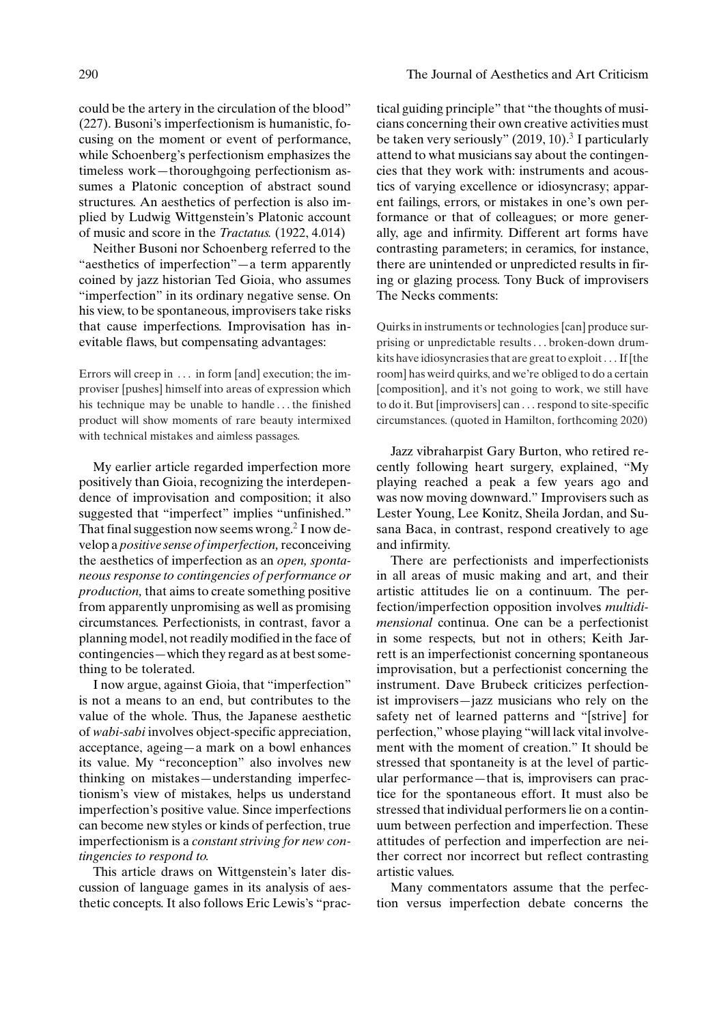could be the artery in the circulation of the blood" (227). Busoni's imperfectionism is humanistic, focusing on the moment or event of performance, while Schoenberg's perfectionism emphasizes the timeless work—thoroughgoing perfectionism assumes a Platonic conception of abstract sound structures. An aesthetics of perfection is also implied by Ludwig Wittgenstein's Platonic account of music and score in the *Tractatus.* (1922, 4.014)

Neither Busoni nor Schoenberg referred to the "aesthetics of imperfection"—a term apparently coined by jazz historian Ted Gioia, who assumes "imperfection" in its ordinary negative sense. On his view, to be spontaneous, improvisers take risks that cause imperfections. Improvisation has inevitable flaws, but compensating advantages:

Errors will creep in . . . in form [and] execution; the improviser [pushes] himself into areas of expression which his technique may be unable to handle . . . the finished product will show moments of rare beauty intermixed with technical mistakes and aimless passages.

My earlier article regarded imperfection more positively than Gioia, recognizing the interdependence of improvisation and composition; it also suggested that "imperfect" implies "unfinished." That final suggestion now seems wrong.<sup>2</sup> I now develop a *positive sense of imperfection,*reconceiving the aesthetics of imperfection as an *open, spontaneous response to contingencies of performance or production,* that aims to create something positive from apparently unpromising as well as promising circumstances. Perfectionists, in contrast, favor a planning model, not readily modified in the face of contingencies—which they regard as at best something to be tolerated.

I now argue, against Gioia, that "imperfection" is not a means to an end, but contributes to the value of the whole. Thus, the Japanese aesthetic of *wabi-sabi* involves object-specific appreciation, acceptance, ageing—a mark on a bowl enhances its value. My "reconception" also involves new thinking on mistakes—understanding imperfectionism's view of mistakes, helps us understand imperfection's positive value. Since imperfections can become new styles or kinds of perfection, true imperfectionism is a *constant striving for new contingencies to respond to.*

This article draws on Wittgenstein's later discussion of language games in its analysis of aesthetic concepts. It also follows Eric Lewis's "prac-

#### 290 The Journal of Aesthetics and Art Criticism

tical guiding principle" that "the thoughts of musicians concerning their own creative activities must be taken very seriously"  $(2019, 10)$ .<sup>3</sup> I particularly attend to what musicians say about the contingencies that they work with: instruments and acoustics of varying excellence or idiosyncrasy; apparent failings, errors, or mistakes in one's own performance or that of colleagues; or more generally, age and infirmity. Different art forms have contrasting parameters; in ceramics, for instance, there are unintended or unpredicted results in firing or glazing process. Tony Buck of improvisers The Necks comments:

Quirks in instruments or technologies [can] produce surprising or unpredictable results . . . broken-down drumkits have idiosyncrasies that are great to exploit . . . If [the room] has weird quirks, and we're obliged to do a certain [composition], and it's not going to work, we still have to do it. But [improvisers] can . . . respond to site-specific circumstances. (quoted in Hamilton, forthcoming 2020)

Jazz vibraharpist Gary Burton, who retired recently following heart surgery, explained, "My playing reached a peak a few years ago and was now moving downward." Improvisers such as Lester Young, Lee Konitz, Sheila Jordan, and Susana Baca, in contrast, respond creatively to age and infirmity.

There are perfectionists and imperfectionists in all areas of music making and art, and their artistic attitudes lie on a continuum. The perfection/imperfection opposition involves *multidimensional* continua. One can be a perfectionist in some respects, but not in others; Keith Jarrett is an imperfectionist concerning spontaneous improvisation, but a perfectionist concerning the instrument. Dave Brubeck criticizes perfectionist improvisers—jazz musicians who rely on the safety net of learned patterns and "[strive] for perfection," whose playing "will lack vital involvement with the moment of creation." It should be stressed that spontaneity is at the level of particular performance—that is, improvisers can practice for the spontaneous effort. It must also be stressed that individual performers lie on a continuum between perfection and imperfection. These attitudes of perfection and imperfection are neither correct nor incorrect but reflect contrasting artistic values.

Many commentators assume that the perfection versus imperfection debate concerns the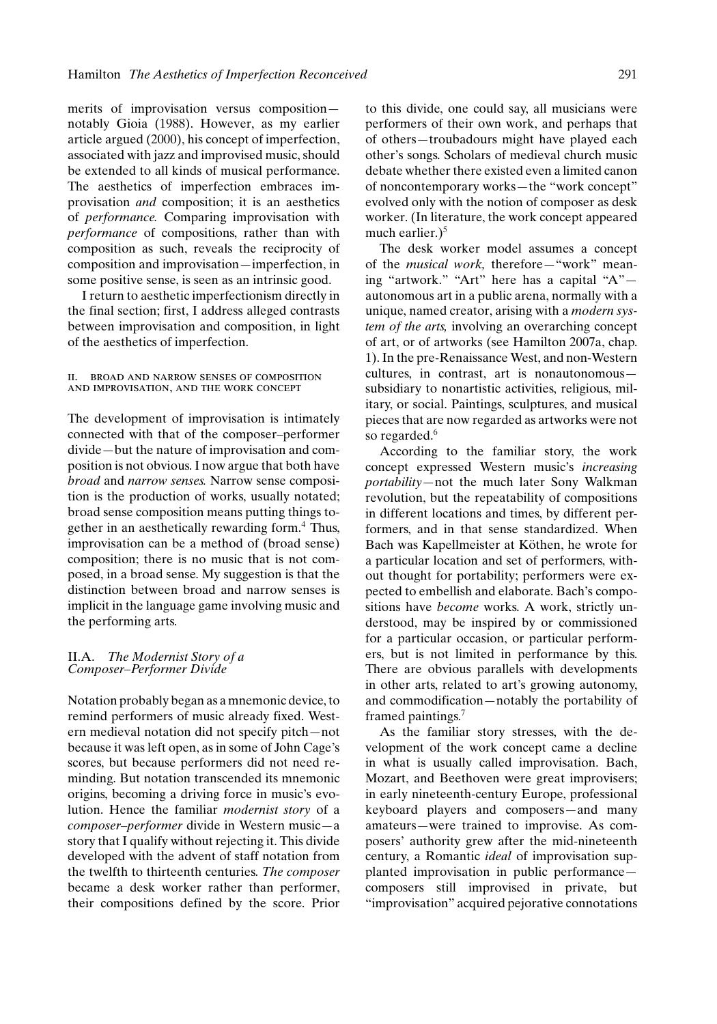merits of improvisation versus composition notably Gioia (1988). However, as my earlier article argued (2000), his concept of imperfection, associated with jazz and improvised music, should be extended to all kinds of musical performance. The aesthetics of imperfection embraces improvisation *and* composition; it is an aesthetics of *performance.* Comparing improvisation with *performance* of compositions, rather than with composition as such, reveals the reciprocity of composition and improvisation—imperfection, in some positive sense, is seen as an intrinsic good.

I return to aesthetic imperfectionism directly in the final section; first, I address alleged contrasts between improvisation and composition, in light of the aesthetics of imperfection.

#### ii. broad and narrow senses of composition and improvisation, and the work concept

The development of improvisation is intimately connected with that of the composer–performer divide—but the nature of improvisation and composition is not obvious. I now argue that both have *broad* and *narrow senses.* Narrow sense composition is the production of works, usually notated; broad sense composition means putting things together in an aesthetically rewarding form.<sup>4</sup> Thus, improvisation can be a method of (broad sense) composition; there is no music that is not composed, in a broad sense. My suggestion is that the distinction between broad and narrow senses is implicit in the language game involving music and the performing arts.

#### II.A. *The Modernist Story of a Composer–Performer Divide*

Notation probably began as a mnemonic device, to remind performers of music already fixed. Western medieval notation did not specify pitch—not because it was left open, as in some of John Cage's scores, but because performers did not need reminding. But notation transcended its mnemonic origins, becoming a driving force in music's evolution. Hence the familiar *modernist story* of a *composer–performer* divide in Western music—a story that I qualify without rejecting it. This divide developed with the advent of staff notation from the twelfth to thirteenth centuries. *The composer* became a desk worker rather than performer, their compositions defined by the score. Prior to this divide, one could say, all musicians were performers of their own work, and perhaps that of others—troubadours might have played each other's songs. Scholars of medieval church music debate whether there existed even a limited canon of noncontemporary works—the "work concept" evolved only with the notion of composer as desk worker. (In literature, the work concept appeared much earlier.) $5$ 

The desk worker model assumes a concept of the *musical work,* therefore—"work" meaning "artwork." "Art" here has a capital "A" autonomous art in a public arena, normally with a unique, named creator, arising with a *modern system of the arts,* involving an overarching concept of art, or of artworks (see Hamilton 2007a, chap. 1). In the pre-Renaissance West, and non-Western cultures, in contrast, art is nonautonomous subsidiary to nonartistic activities, religious, military, or social. Paintings, sculptures, and musical pieces that are now regarded as artworks were not so regarded.<sup>6</sup>

According to the familiar story, the work concept expressed Western music's *increasing portability—*not the much later Sony Walkman revolution, but the repeatability of compositions in different locations and times, by different performers, and in that sense standardized. When Bach was Kapellmeister at Köthen, he wrote for a particular location and set of performers, without thought for portability; performers were expected to embellish and elaborate. Bach's compositions have *become* works. A work, strictly understood, may be inspired by or commissioned for a particular occasion, or particular performers, but is not limited in performance by this. There are obvious parallels with developments in other arts, related to art's growing autonomy, and commodification—notably the portability of framed paintings.<sup>7</sup>

As the familiar story stresses, with the development of the work concept came a decline in what is usually called improvisation. Bach, Mozart, and Beethoven were great improvisers; in early nineteenth-century Europe, professional keyboard players and composers—and many amateurs—were trained to improvise. As composers' authority grew after the mid-nineteenth century, a Romantic *ideal* of improvisation supplanted improvisation in public performance composers still improvised in private, but "improvisation" acquired pejorative connotations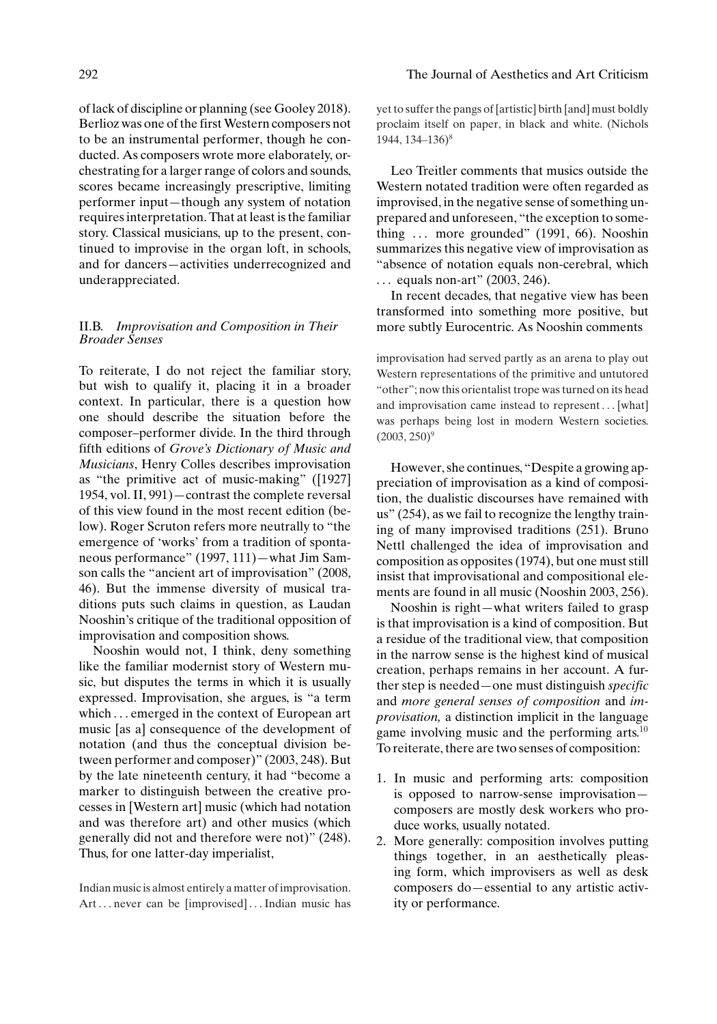#### 292 The Journal of Aesthetics and Art Criticism

of lack of discipline or planning (see Gooley 2018). Berlioz was one of the first Western composers not to be an instrumental performer, though he conducted. As composers wrote more elaborately, orchestrating for a larger range of colors and sounds, scores became increasingly prescriptive, limiting performer input—though any system of notation requires interpretation. That at least is the familiar story. Classical musicians, up to the present, continued to improvise in the organ loft, in schools, and for dancers—activities underrecognized and underappreciated.

#### II.B. *Improvisation and Composition in Their Broader Senses*

To reiterate, I do not reject the familiar story, but wish to qualify it, placing it in a broader context. In particular, there is a question how one should describe the situation before the composer–performer divide. In the third through fifth editions of *Grove's Dictionary of Music and Musicians*, Henry Colles describes improvisation as "the primitive act of music-making" ([1927] 1954, vol. II, 991)—contrast the complete reversal of this view found in the most recent edition (below). Roger Scruton refers more neutrally to "the emergence of 'works' from a tradition of spontaneous performance" (1997, 111)—what Jim Samson calls the "ancient art of improvisation" (2008, 46). But the immense diversity of musical traditions puts such claims in question, as Laudan Nooshin's critique of the traditional opposition of improvisation and composition shows.

Nooshin would not, I think, deny something like the familiar modernist story of Western music, but disputes the terms in which it is usually expressed. Improvisation, she argues, is "a term which . . . emerged in the context of European art music [as a] consequence of the development of notation (and thus the conceptual division between performer and composer)" (2003, 248). But by the late nineteenth century, it had "become a marker to distinguish between the creative processes in [Western art] music (which had notation and was therefore art) and other musics (which generally did not and therefore were not)" (248). Thus, for one latter-day imperialist,

Indian music is almost entirely a matter of improvisation. Art... never can be [improvised]... Indian music has yet to suffer the pangs of [artistic] birth [and] must boldly proclaim itself on paper, in black and white. (Nichols 1944, 134–136)8

Leo Treitler comments that musics outside the Western notated tradition were often regarded as improvised, in the negative sense of something unprepared and unforeseen, "the exception to something  $\ldots$  more grounded" (1991, 66). Nooshin summarizes this negative view of improvisation as "absence of notation equals non-cerebral, which . . . equals non-art" (2003, 246).

In recent decades, that negative view has been transformed into something more positive, but more subtly Eurocentric. As Nooshin comments

improvisation had served partly as an arena to play out Western representations of the primitive and untutored "other"; now this orientalist trope was turned on its head and improvisation came instead to represent... [what] was perhaps being lost in modern Western societies.  $(2003, 250)^9$ 

However, she continues, "Despite a growing appreciation of improvisation as a kind of composition, the dualistic discourses have remained with us" (254), as we fail to recognize the lengthy training of many improvised traditions (251). Bruno Nettl challenged the idea of improvisation and composition as opposites (1974), but one must still insist that improvisational and compositional elements are found in all music (Nooshin 2003, 256).

Nooshin is right—what writers failed to grasp is that improvisation is a kind of composition. But a residue of the traditional view, that composition in the narrow sense is the highest kind of musical creation, perhaps remains in her account. A further step is needed—one must distinguish *specific* and *more general senses of composition* and *improvisation,* a distinction implicit in the language game involving music and the performing arts.10 To reiterate, there are two senses of composition:

- 1. In music and performing arts: composition is opposed to narrow-sense improvisation composers are mostly desk workers who produce works, usually notated.
- 2. More generally: composition involves putting things together, in an aesthetically pleasing form, which improvisers as well as desk composers do—essential to any artistic activity or performance.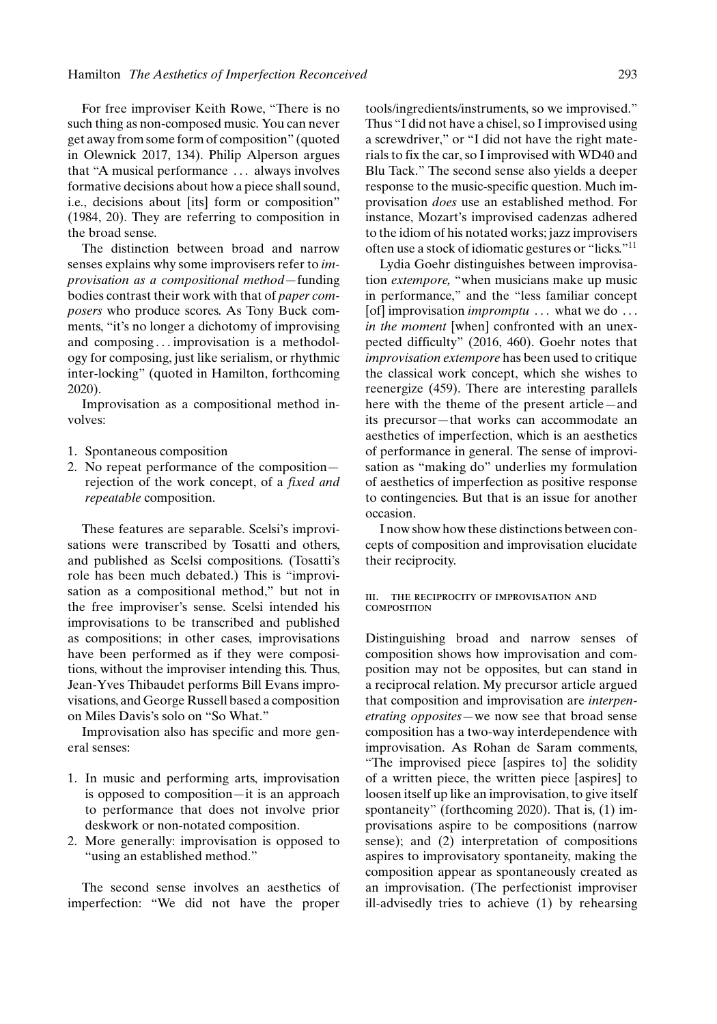For free improviser Keith Rowe, "There is no such thing as non-composed music. You can never get away from some form of composition" (quoted in Olewnick 2017, 134). Philip Alperson argues that "A musical performance . . . always involves formative decisions about how a piece shall sound, i.e., decisions about [its] form or composition" (1984, 20). They are referring to composition in the broad sense.

The distinction between broad and narrow senses explains why some improvisers refer to *improvisation as a compositional method—*funding bodies contrast their work with that of *paper composers* who produce scores. As Tony Buck comments, "it's no longer a dichotomy of improvising and composing ... improvisation is a methodology for composing, just like serialism, or rhythmic inter-locking" (quoted in Hamilton, forthcoming 2020).

Improvisation as a compositional method involves:

- 1. Spontaneous composition
- 2. No repeat performance of the composition rejection of the work concept, of a *fixed and repeatable* composition.

These features are separable. Scelsi's improvisations were transcribed by Tosatti and others, and published as Scelsi compositions. (Tosatti's role has been much debated.) This is "improvisation as a compositional method," but not in the free improviser's sense. Scelsi intended his improvisations to be transcribed and published as compositions; in other cases, improvisations have been performed as if they were compositions, without the improviser intending this. Thus, Jean-Yves Thibaudet performs Bill Evans improvisations, and George Russell based a composition on Miles Davis's solo on "So What."

Improvisation also has specific and more general senses:

- 1. In music and performing arts, improvisation is opposed to composition—it is an approach to performance that does not involve prior deskwork or non-notated composition.
- 2. More generally: improvisation is opposed to "using an established method."

The second sense involves an aesthetics of imperfection: "We did not have the proper tools/ingredients/instruments, so we improvised." Thus "I did not have a chisel, so I improvised using a screwdriver," or "I did not have the right materials to fix the car, so I improvised with WD40 and Blu Tack." The second sense also yields a deeper response to the music-specific question. Much improvisation *does* use an established method. For instance, Mozart's improvised cadenzas adhered to the idiom of his notated works; jazz improvisers often use a stock of idiomatic gestures or "licks."11

Lydia Goehr distinguishes between improvisation *extempore,* "when musicians make up music in performance," and the "less familiar concept [of] improvisation *impromptu* ... what we do ... *in the moment* [when] confronted with an unexpected difficulty" (2016, 460). Goehr notes that *improvisation extempore* has been used to critique the classical work concept, which she wishes to reenergize (459). There are interesting parallels here with the theme of the present article—and its precursor—that works can accommodate an aesthetics of imperfection, which is an aesthetics of performance in general. The sense of improvisation as "making do" underlies my formulation of aesthetics of imperfection as positive response to contingencies. But that is an issue for another occasion.

I now show how these distinctions between concepts of composition and improvisation elucidate their reciprocity.

iii. the reciprocity of improvisation and **COMPOSITION** 

Distinguishing broad and narrow senses of composition shows how improvisation and composition may not be opposites, but can stand in a reciprocal relation. My precursor article argued that composition and improvisation are *interpenetrating opposites—*we now see that broad sense composition has a two-way interdependence with improvisation. As Rohan de Saram comments, "The improvised piece [aspires to] the solidity of a written piece, the written piece [aspires] to loosen itself up like an improvisation, to give itself spontaneity" (forthcoming 2020). That is, (1) improvisations aspire to be compositions (narrow sense); and (2) interpretation of compositions aspires to improvisatory spontaneity, making the composition appear as spontaneously created as an improvisation. (The perfectionist improviser ill-advisedly tries to achieve (1) by rehearsing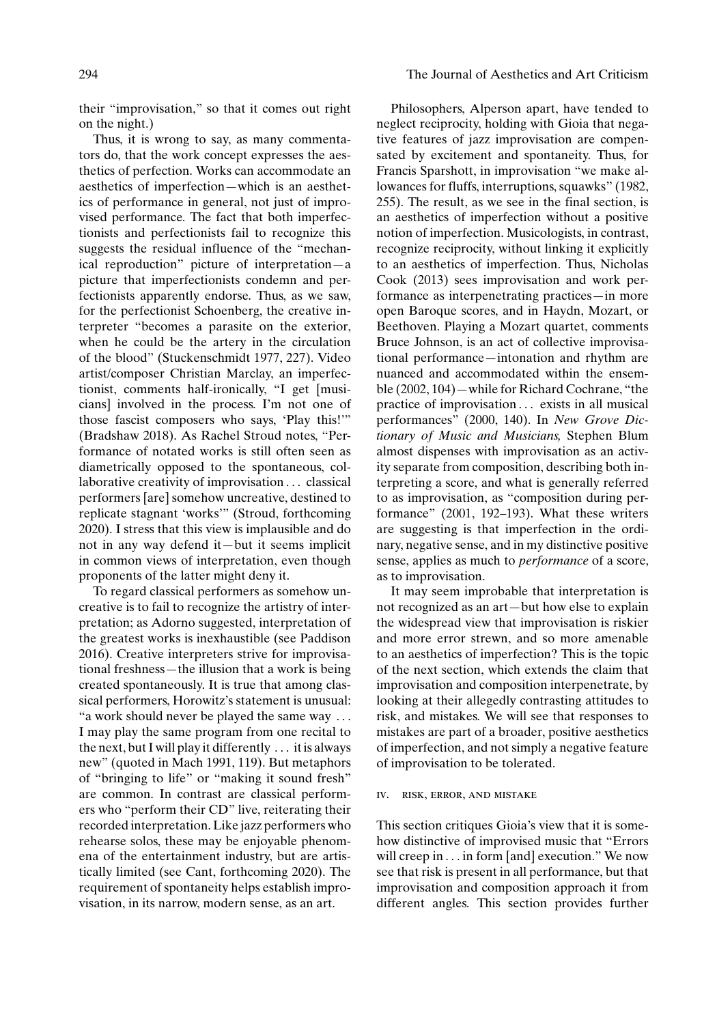their "improvisation," so that it comes out right on the night.)

Thus, it is wrong to say, as many commentators do, that the work concept expresses the aesthetics of perfection. Works can accommodate an aesthetics of imperfection—which is an aesthetics of performance in general, not just of improvised performance. The fact that both imperfectionists and perfectionists fail to recognize this suggests the residual influence of the "mechanical reproduction" picture of interpretation—a picture that imperfectionists condemn and perfectionists apparently endorse. Thus, as we saw, for the perfectionist Schoenberg, the creative interpreter "becomes a parasite on the exterior, when he could be the artery in the circulation of the blood" (Stuckenschmidt 1977, 227). Video artist/composer Christian Marclay, an imperfectionist, comments half-ironically, "I get [musicians] involved in the process. I'm not one of those fascist composers who says, 'Play this!'" (Bradshaw 2018). As Rachel Stroud notes, "Performance of notated works is still often seen as diametrically opposed to the spontaneous, collaborative creativity of improvisation . . . classical performers [are] somehow uncreative, destined to replicate stagnant 'works'" (Stroud, forthcoming 2020). I stress that this view is implausible and do not in any way defend it—but it seems implicit in common views of interpretation, even though proponents of the latter might deny it.

To regard classical performers as somehow uncreative is to fail to recognize the artistry of interpretation; as Adorno suggested, interpretation of the greatest works is inexhaustible (see Paddison 2016). Creative interpreters strive for improvisational freshness—the illusion that a work is being created spontaneously. It is true that among classical performers, Horowitz's statement is unusual: "a work should never be played the same way . . . I may play the same program from one recital to the next, but I will play it differently . . . it is always new" (quoted in Mach 1991, 119). But metaphors of "bringing to life" or "making it sound fresh" are common. In contrast are classical performers who "perform their CD" live, reiterating their recorded interpretation. Like jazz performers who rehearse solos, these may be enjoyable phenomena of the entertainment industry, but are artistically limited (see Cant, forthcoming 2020). The requirement of spontaneity helps establish improvisation, in its narrow, modern sense, as an art.

Philosophers, Alperson apart, have tended to neglect reciprocity, holding with Gioia that negative features of jazz improvisation are compensated by excitement and spontaneity. Thus, for Francis Sparshott, in improvisation "we make allowances for fluffs, interruptions, squawks" (1982, 255). The result, as we see in the final section, is an aesthetics of imperfection without a positive notion of imperfection. Musicologists, in contrast, recognize reciprocity, without linking it explicitly to an aesthetics of imperfection. Thus, Nicholas Cook (2013) sees improvisation and work performance as interpenetrating practices—in more open Baroque scores, and in Haydn, Mozart, or Beethoven. Playing a Mozart quartet, comments Bruce Johnson, is an act of collective improvisational performance—intonation and rhythm are nuanced and accommodated within the ensemble (2002, 104)—while for Richard Cochrane, "the practice of improvisation . . . exists in all musical performances" (2000, 140). In *New Grove Dictionary of Music and Musicians,* Stephen Blum almost dispenses with improvisation as an activity separate from composition, describing both interpreting a score, and what is generally referred to as improvisation, as "composition during performance" (2001, 192–193). What these writers are suggesting is that imperfection in the ordinary, negative sense, and in my distinctive positive sense, applies as much to *performance* of a score, as to improvisation.

It may seem improbable that interpretation is not recognized as an art—but how else to explain the widespread view that improvisation is riskier and more error strewn, and so more amenable to an aesthetics of imperfection? This is the topic of the next section, which extends the claim that improvisation and composition interpenetrate, by looking at their allegedly contrasting attitudes to risk, and mistakes. We will see that responses to mistakes are part of a broader, positive aesthetics of imperfection, and not simply a negative feature of improvisation to be tolerated.

#### iv. risk, error, and mistake

This section critiques Gioia's view that it is somehow distinctive of improvised music that "Errors will creep in . . . in form [and] execution." We now see that risk is present in all performance, but that improvisation and composition approach it from different angles. This section provides further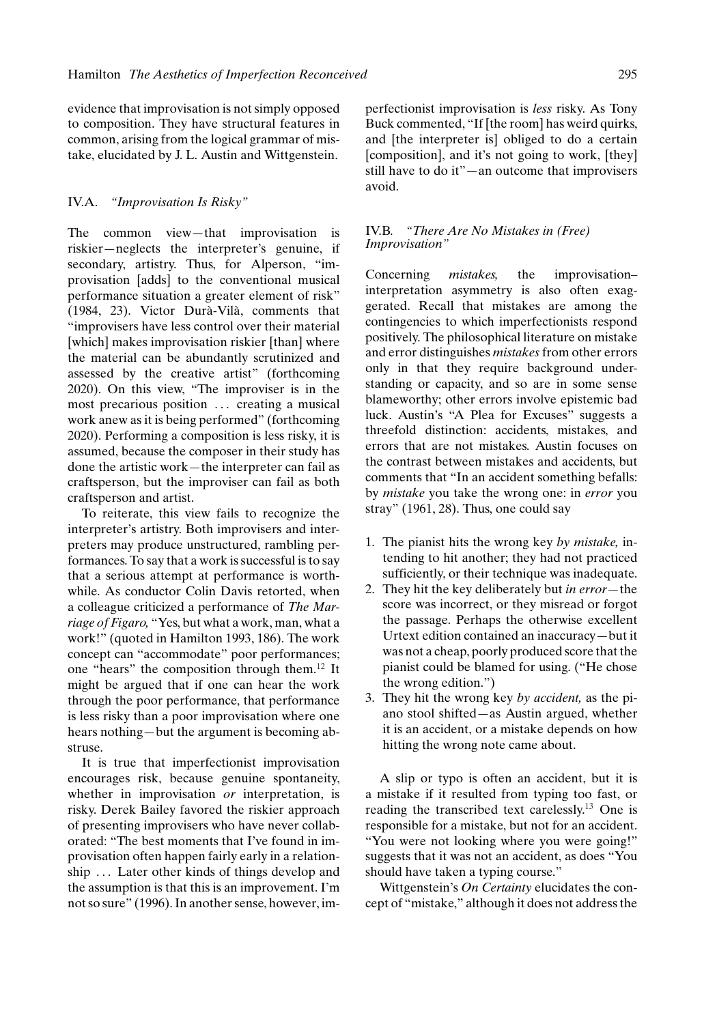evidence that improvisation is not simply opposed to composition. They have structural features in common, arising from the logical grammar of mistake, elucidated by J. L. Austin and Wittgenstein.

#### IV.A. *"Improvisation Is Risky"*

The common view—that improvisation is riskier—neglects the interpreter's genuine, if secondary, artistry. Thus, for Alperson, "improvisation [adds] to the conventional musical performance situation a greater element of risk" (1984, 23). Victor Durà-Vilà, comments that "improvisers have less control over their material [which] makes improvisation riskier [than] where the material can be abundantly scrutinized and assessed by the creative artist" (forthcoming 2020). On this view, "The improviser is in the most precarious position ... creating a musical work anew as it is being performed" (forthcoming 2020). Performing a composition is less risky, it is assumed, because the composer in their study has done the artistic work—the interpreter can fail as craftsperson, but the improviser can fail as both craftsperson and artist.

To reiterate, this view fails to recognize the interpreter's artistry. Both improvisers and interpreters may produce unstructured, rambling performances. To say that a work is successful is to say that a serious attempt at performance is worthwhile. As conductor Colin Davis retorted, when a colleague criticized a performance of *The Marriage of Figaro,* "Yes, but what a work, man, what a work!" (quoted in Hamilton 1993, 186). The work concept can "accommodate" poor performances; one "hears" the composition through them.<sup>12</sup> It might be argued that if one can hear the work through the poor performance, that performance is less risky than a poor improvisation where one hears nothing—but the argument is becoming abstruse.

It is true that imperfectionist improvisation encourages risk, because genuine spontaneity, whether in improvisation *or* interpretation, is risky. Derek Bailey favored the riskier approach of presenting improvisers who have never collaborated: "The best moments that I've found in improvisation often happen fairly early in a relationship ... Later other kinds of things develop and the assumption is that this is an improvement. I'm not so sure" (1996). In another sense, however, im-

perfectionist improvisation is *less* risky. As Tony Buck commented, "If [the room] has weird quirks, and [the interpreter is] obliged to do a certain [composition], and it's not going to work, [they] still have to do it"—an outcome that improvisers avoid.

#### IV.B. *"There Are No Mistakes in (Free) Improvisation"*

Concerning *mistakes,* the improvisation– interpretation asymmetry is also often exaggerated. Recall that mistakes are among the contingencies to which imperfectionists respond positively. The philosophical literature on mistake and error distinguishes *mistakes* from other errors only in that they require background understanding or capacity, and so are in some sense blameworthy; other errors involve epistemic bad luck. Austin's "A Plea for Excuses" suggests a threefold distinction: accidents, mistakes, and errors that are not mistakes. Austin focuses on the contrast between mistakes and accidents, but comments that "In an accident something befalls: by *mistake* you take the wrong one: in *error* you stray" (1961, 28). Thus, one could say

- 1. The pianist hits the wrong key *by mistake,* intending to hit another; they had not practiced sufficiently, or their technique was inadequate.
- 2. They hit the key deliberately but *in error—*the score was incorrect, or they misread or forgot the passage. Perhaps the otherwise excellent Urtext edition contained an inaccuracy—but it was not a cheap, poorly produced score that the pianist could be blamed for using. ("He chose the wrong edition.")
- 3. They hit the wrong key *by accident,* as the piano stool shifted—as Austin argued, whether it is an accident, or a mistake depends on how hitting the wrong note came about.

A slip or typo is often an accident, but it is a mistake if it resulted from typing too fast, or reading the transcribed text carelessly.<sup>13</sup> One is responsible for a mistake, but not for an accident. "You were not looking where you were going!" suggests that it was not an accident, as does "You should have taken a typing course."

Wittgenstein's *On Certainty* elucidates the concept of "mistake," although it does not address the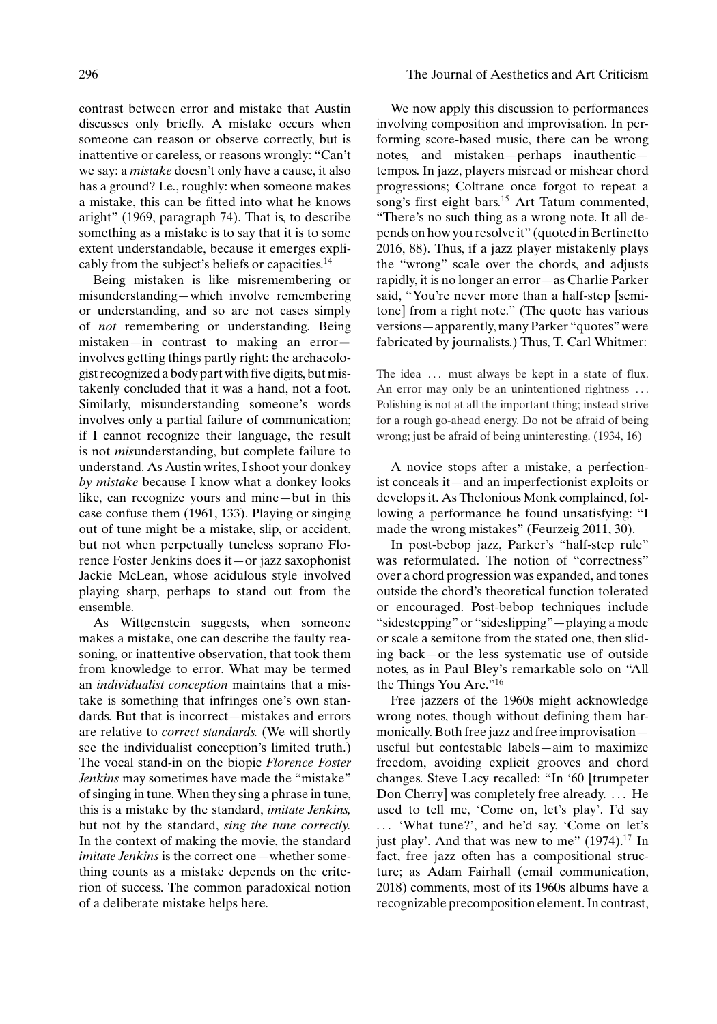contrast between error and mistake that Austin discusses only briefly. A mistake occurs when someone can reason or observe correctly, but is inattentive or careless, or reasons wrongly: "Can't we say: a *mistake* doesn't only have a cause, it also has a ground? I.e., roughly: when someone makes a mistake, this can be fitted into what he knows aright" (1969, paragraph 74). That is, to describe something as a mistake is to say that it is to some extent understandable, because it emerges explicably from the subject's beliefs or capacities.<sup>14</sup>

Being mistaken is like misremembering or misunderstanding—which involve remembering or understanding, and so are not cases simply of *not* remembering or understanding. Being mistaken—in contrast to making an error involves getting things partly right: the archaeologist recognized a body part with five digits, but mistakenly concluded that it was a hand, not a foot. Similarly, misunderstanding someone's words involves only a partial failure of communication; if I cannot recognize their language, the result is not *mis*understanding, but complete failure to understand. As Austin writes, I shoot your donkey *by mistake* because I know what a donkey looks like, can recognize yours and mine—but in this case confuse them (1961, 133). Playing or singing out of tune might be a mistake, slip, or accident, but not when perpetually tuneless soprano Florence Foster Jenkins does it—or jazz saxophonist Jackie McLean, whose acidulous style involved playing sharp, perhaps to stand out from the ensemble.

As Wittgenstein suggests, when someone makes a mistake, one can describe the faulty reasoning, or inattentive observation, that took them from knowledge to error. What may be termed an *individualist conception* maintains that a mistake is something that infringes one's own standards. But that is incorrect—mistakes and errors are relative to *correct standards.* (We will shortly see the individualist conception's limited truth.) The vocal stand-in on the biopic *Florence Foster Jenkins* may sometimes have made the "mistake" of singing in tune. When they sing a phrase in tune, this is a mistake by the standard, *imitate Jenkins,* but not by the standard, *sing the tune correctly.* In the context of making the movie, the standard *imitate Jenkins* is the correct one—whether something counts as a mistake depends on the criterion of success. The common paradoxical notion of a deliberate mistake helps here.

#### 296 The Journal of Aesthetics and Art Criticism

We now apply this discussion to performances involving composition and improvisation. In performing score-based music, there can be wrong notes, and mistaken—perhaps inauthentic tempos. In jazz, players misread or mishear chord progressions; Coltrane once forgot to repeat a song's first eight bars.<sup>15</sup> Art Tatum commented, "There's no such thing as a wrong note. It all depends on how you resolve it" (quoted in Bertinetto 2016, 88). Thus, if a jazz player mistakenly plays the "wrong" scale over the chords, and adjusts rapidly, it is no longer an error—as Charlie Parker said, "You're never more than a half-step [semitone] from a right note." (The quote has various versions—apparently, many Parker "quotes" were fabricated by journalists.) Thus, T. Carl Whitmer:

The idea ... must always be kept in a state of flux. An error may only be an unintentioned rightness ... Polishing is not at all the important thing; instead strive for a rough go-ahead energy. Do not be afraid of being wrong; just be afraid of being uninteresting. (1934, 16)

A novice stops after a mistake, a perfectionist conceals it—and an imperfectionist exploits or develops it. As Thelonious Monk complained, following a performance he found unsatisfying: "I made the wrong mistakes" (Feurzeig 2011, 30).

In post-bebop jazz, Parker's "half-step rule" was reformulated. The notion of "correctness" over a chord progression was expanded, and tones outside the chord's theoretical function tolerated or encouraged. Post-bebop techniques include "sidestepping" or "sideslipping"—playing a mode or scale a semitone from the stated one, then sliding back—or the less systematic use of outside notes, as in Paul Bley's remarkable solo on "All the Things You Are."<sup>16</sup>

Free jazzers of the 1960s might acknowledge wrong notes, though without defining them harmonically. Both free jazz and free improvisation useful but contestable labels—aim to maximize freedom, avoiding explicit grooves and chord changes. Steve Lacy recalled: "In '60 [trumpeter Don Cherry] was completely free already. ... He used to tell me, 'Come on, let's play'. I'd say . . . 'What tune?', and he'd say, 'Come on let's just play'. And that was new to me"  $(1974).<sup>17</sup>$  In fact, free jazz often has a compositional structure; as Adam Fairhall (email communication, 2018) comments, most of its 1960s albums have a recognizable precomposition element. In contrast,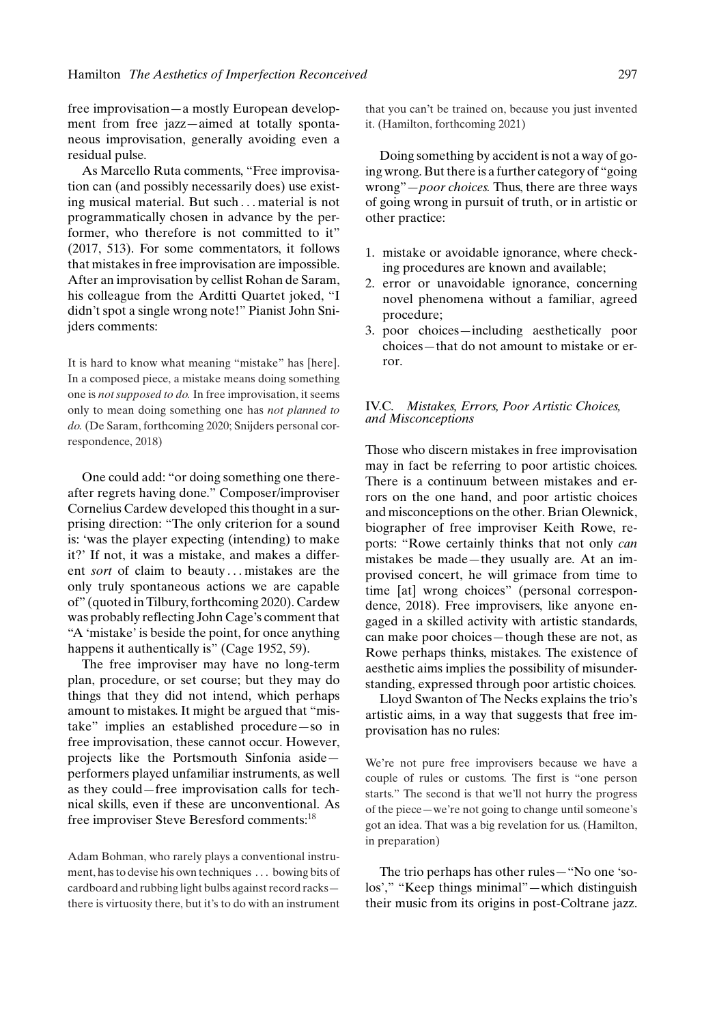free improvisation—a mostly European development from free jazz—aimed at totally spontaneous improvisation, generally avoiding even a residual pulse.

As Marcello Ruta comments, "Free improvisation can (and possibly necessarily does) use existing musical material. But such . . . material is not programmatically chosen in advance by the performer, who therefore is not committed to it" (2017, 513). For some commentators, it follows that mistakes in free improvisation are impossible. After an improvisation by cellist Rohan de Saram, his colleague from the Arditti Quartet joked, "I didn't spot a single wrong note!" Pianist John Snijders comments:

It is hard to know what meaning "mistake" has [here]. In a composed piece, a mistake means doing something one is *not supposed to do.* In free improvisation, it seems only to mean doing something one has *not planned to do.* (De Saram, forthcoming 2020; Snijders personal correspondence, 2018)

One could add: "or doing something one thereafter regrets having done." Composer/improviser Cornelius Cardew developed this thought in a surprising direction: "The only criterion for a sound is: 'was the player expecting (intending) to make it?' If not, it was a mistake, and makes a different *sort* of claim to beauty...mistakes are the only truly spontaneous actions we are capable of" (quoted in Tilbury, forthcoming 2020). Cardew was probably reflecting John Cage's comment that "A 'mistake' is beside the point, for once anything happens it authentically is" (Cage 1952, 59).

The free improviser may have no long-term plan, procedure, or set course; but they may do things that they did not intend, which perhaps amount to mistakes. It might be argued that "mistake" implies an established procedure—so in free improvisation, these cannot occur. However, projects like the Portsmouth Sinfonia aside performers played unfamiliar instruments, as well as they could—free improvisation calls for technical skills, even if these are unconventional. As free improviser Steve Beresford comments:<sup>18</sup>

Adam Bohman, who rarely plays a conventional instrument, has to devise his own techniques . . . bowing bits of cardboard and rubbing light bulbs against record racks there is virtuosity there, but it's to do with an instrument that you can't be trained on, because you just invented it. (Hamilton, forthcoming 2021)

Doing something by accident is not a way of going wrong. But there is a further category of "going wrong"—*poor choices.* Thus, there are three ways of going wrong in pursuit of truth, or in artistic or other practice:

- 1. mistake or avoidable ignorance, where checking procedures are known and available;
- 2. error or unavoidable ignorance, concerning novel phenomena without a familiar, agreed procedure;
- 3. poor choices—including aesthetically poor choices—that do not amount to mistake or error.

#### IV.C. *Mistakes, Errors, Poor Artistic Choices, and Misconceptions*

Those who discern mistakes in free improvisation may in fact be referring to poor artistic choices. There is a continuum between mistakes and errors on the one hand, and poor artistic choices and misconceptions on the other. Brian Olewnick, biographer of free improviser Keith Rowe, reports: "Rowe certainly thinks that not only *can* mistakes be made—they usually are. At an improvised concert, he will grimace from time to time [at] wrong choices" (personal correspondence, 2018). Free improvisers, like anyone engaged in a skilled activity with artistic standards, can make poor choices—though these are not, as Rowe perhaps thinks, mistakes. The existence of aesthetic aims implies the possibility of misunderstanding, expressed through poor artistic choices.

Lloyd Swanton of The Necks explains the trio's artistic aims, in a way that suggests that free improvisation has no rules:

We're not pure free improvisers because we have a couple of rules or customs. The first is "one person starts." The second is that we'll not hurry the progress of the piece—we're not going to change until someone's got an idea. That was a big revelation for us. (Hamilton, in preparation)

The trio perhaps has other rules—"No one 'solos'," "Keep things minimal"—which distinguish their music from its origins in post-Coltrane jazz.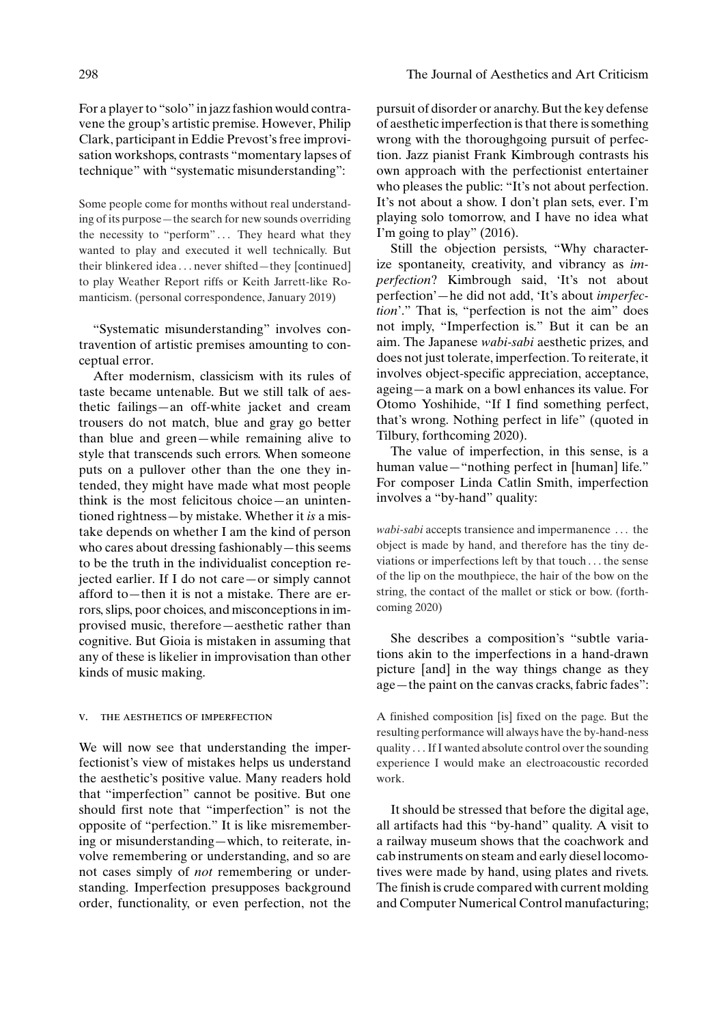For a player to "solo" in jazz fashion would contravene the group's artistic premise. However, Philip Clark, participant in Eddie Prevost's free improvisation workshops, contrasts "momentary lapses of technique" with "systematic misunderstanding":

Some people come for months without real understanding of its purpose—the search for new sounds overriding the necessity to "perform"... They heard what they wanted to play and executed it well technically. But their blinkered idea . . . never shifted—they [continued] to play Weather Report riffs or Keith Jarrett-like Romanticism. (personal correspondence, January 2019)

"Systematic misunderstanding" involves contravention of artistic premises amounting to conceptual error.

After modernism, classicism with its rules of taste became untenable. But we still talk of aesthetic failings—an off-white jacket and cream trousers do not match, blue and gray go better than blue and green—while remaining alive to style that transcends such errors. When someone puts on a pullover other than the one they intended, they might have made what most people think is the most felicitous choice—an unintentioned rightness—by mistake. Whether it *is* a mistake depends on whether I am the kind of person who cares about dressing fashionably—this seems to be the truth in the individualist conception rejected earlier. If I do not care—or simply cannot afford to—then it is not a mistake. There are errors, slips, poor choices, and misconceptions in improvised music, therefore—aesthetic rather than cognitive. But Gioia is mistaken in assuming that any of these is likelier in improvisation than other kinds of music making.

#### v. the aesthetics of imperfection

We will now see that understanding the imperfectionist's view of mistakes helps us understand the aesthetic's positive value. Many readers hold that "imperfection" cannot be positive. But one should first note that "imperfection" is not the opposite of "perfection." It is like misremembering or misunderstanding—which, to reiterate, involve remembering or understanding, and so are not cases simply of *not* remembering or understanding. Imperfection presupposes background order, functionality, or even perfection, not the

pursuit of disorder or anarchy. But the key defense of aesthetic imperfection is that there is something wrong with the thoroughgoing pursuit of perfection. Jazz pianist Frank Kimbrough contrasts his own approach with the perfectionist entertainer who pleases the public: "It's not about perfection. It's not about a show. I don't plan sets, ever. I'm playing solo tomorrow, and I have no idea what I'm going to play" (2016).

Still the objection persists, "Why characterize spontaneity, creativity, and vibrancy as *imperfection*? Kimbrough said, 'It's not about perfection'—he did not add, 'It's about *imperfection*'." That is, "perfection is not the aim" does not imply, "Imperfection is." But it can be an aim. The Japanese *wabi-sabi* aesthetic prizes, and does not just tolerate, imperfection. To reiterate, it involves object-specific appreciation, acceptance, ageing—a mark on a bowl enhances its value. For Otomo Yoshihide, "If I find something perfect, that's wrong. Nothing perfect in life" (quoted in Tilbury, forthcoming 2020).

The value of imperfection, in this sense, is a human value—"nothing perfect in [human] life." For composer Linda Catlin Smith, imperfection involves a "by-hand" quality:

*wabi-sabi* accepts transience and impermanence . . . the object is made by hand, and therefore has the tiny deviations or imperfections left by that touch . . . the sense of the lip on the mouthpiece, the hair of the bow on the string, the contact of the mallet or stick or bow. (forthcoming 2020)

She describes a composition's "subtle variations akin to the imperfections in a hand-drawn picture [and] in the way things change as they age—the paint on the canvas cracks, fabric fades":

A finished composition [is] fixed on the page. But the resulting performance will always have the by-hand-ness quality . . . If I wanted absolute control over the sounding experience I would make an electroacoustic recorded work.

It should be stressed that before the digital age, all artifacts had this "by-hand" quality. A visit to a railway museum shows that the coachwork and cab instruments on steam and early diesel locomotives were made by hand, using plates and rivets. The finish is crude compared with current molding and Computer Numerical Control manufacturing;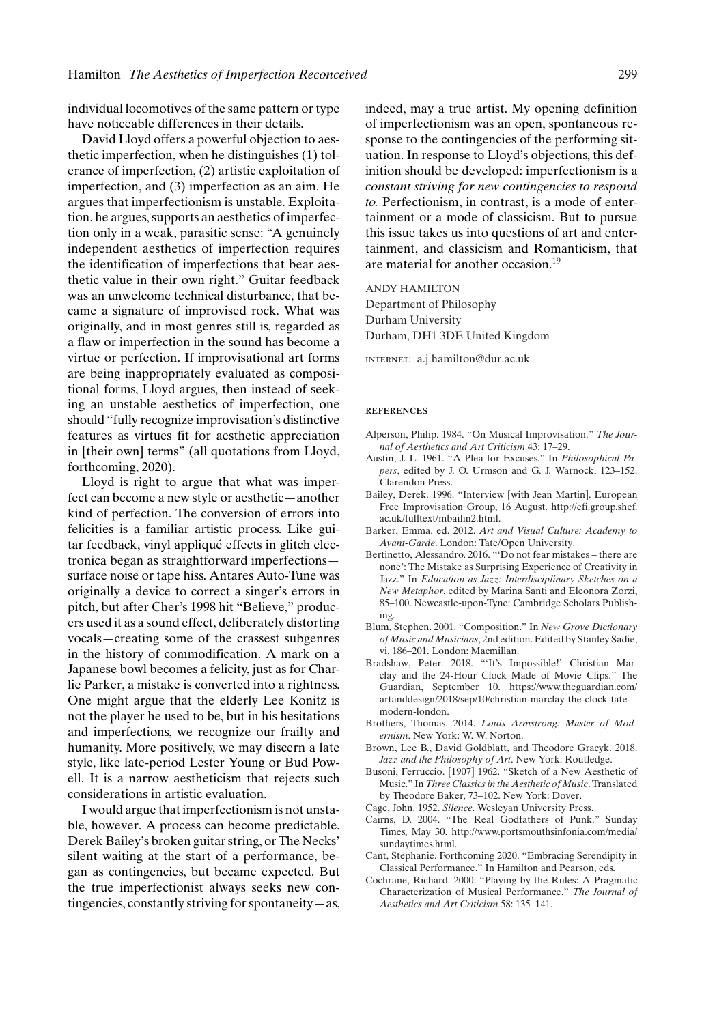individual locomotives of the same pattern or type have noticeable differences in their details.

David Lloyd offers a powerful objection to aesthetic imperfection, when he distinguishes (1) tolerance of imperfection, (2) artistic exploitation of imperfection, and (3) imperfection as an aim. He argues that imperfectionism is unstable. Exploitation, he argues, supports an aesthetics of imperfection only in a weak, parasitic sense: "A genuinely independent aesthetics of imperfection requires the identification of imperfections that bear aesthetic value in their own right." Guitar feedback was an unwelcome technical disturbance, that became a signature of improvised rock. What was originally, and in most genres still is, regarded as a flaw or imperfection in the sound has become a virtue or perfection. If improvisational art forms are being inappropriately evaluated as compositional forms, Lloyd argues, then instead of seeking an unstable aesthetics of imperfection, one should "fully recognize improvisation's distinctive features as virtues fit for aesthetic appreciation in [their own] terms" (all quotations from Lloyd, forthcoming, 2020).

Lloyd is right to argue that what was imperfect can become a new style or aesthetic—another kind of perfection. The conversion of errors into felicities is a familiar artistic process. Like guitar feedback, vinyl applique effects in glitch elec- ´ tronica began as straightforward imperfections surface noise or tape hiss. Antares Auto-Tune was originally a device to correct a singer's errors in pitch, but after Cher's 1998 hit "Believe," producers used it as a sound effect, deliberately distorting vocals—creating some of the crassest subgenres in the history of commodification. A mark on a Japanese bowl becomes a felicity, just as for Charlie Parker, a mistake is converted into a rightness. One might argue that the elderly Lee Konitz is not the player he used to be, but in his hesitations and imperfections, we recognize our frailty and humanity. More positively, we may discern a late style, like late-period Lester Young or Bud Powell. It is a narrow aestheticism that rejects such considerations in artistic evaluation.

I would argue that imperfectionism is not unstable, however. A process can become predictable. Derek Bailey's broken guitar string, or The Necks' silent waiting at the start of a performance, began as contingencies, but became expected. But the true imperfectionist always seeks new contingencies, constantly striving for spontaneity—as, indeed, may a true artist. My opening definition of imperfectionism was an open, spontaneous response to the contingencies of the performing situation. In response to Lloyd's objections, this definition should be developed: imperfectionism is a *constant striving for new contingencies to respond to.* Perfectionism, in contrast, is a mode of entertainment or a mode of classicism. But to pursue this issue takes us into questions of art and entertainment, and classicism and Romanticism, that are material for another occasion.<sup>19</sup>

#### ANDY HAMILTON

Department of Philosophy Durham University Durham, DH1 3DE United Kingdom

internet: a.j.hamilton@dur.ac.uk

#### **REFERENCES**

- Alperson, Philip. 1984. "On Musical Improvisation." *The Journal of Aesthetics and Art Criticism* 43: 17–29.
- Austin, J. L. 1961. "A Plea for Excuses." In *Philosophical Papers*, edited by J. O. Urmson and G. J. Warnock, 123–152. Clarendon Press.
- Bailey, Derek. 1996. "Interview [with Jean Martin]. European Free Improvisation Group, 16 August. http://efi.group.shef. ac.uk/fulltext/mbailin2.html.
- Barker, Emma. ed. 2012. *Art and Visual Culture: Academy to Avant-Garde*. London: Tate/Open University.
- Bertinetto, Alessandro. 2016. "'Do not fear mistakes there are none': The Mistake as Surprising Experience of Creativity in Jazz." In *Education as Jazz: Interdisciplinary Sketches on a New Metaphor*, edited by Marina Santi and Eleonora Zorzi, 85–100. Newcastle-upon-Tyne: Cambridge Scholars Publishing.
- Blum, Stephen. 2001. "Composition." In *New Grove Dictionary of Music and Musicians*, 2nd edition. Edited by Stanley Sadie, vi, 186–201. London: Macmillan.
- Bradshaw, Peter. 2018. "'It's Impossible!' Christian Marclay and the 24-Hour Clock Made of Movie Clips." The Guardian, September 10. https://www.theguardian.com/ artanddesign/2018/sep/10/christian-marclay-the-clock-tatemodern-london.
- Brothers, Thomas. 2014. *Louis Armstrong: Master of Modernism*. New York: W. W. Norton.
- Brown, Lee B., David Goldblatt, and Theodore Gracyk. 2018. *Jazz and the Philosophy of Art*. New York: Routledge.
- Busoni, Ferruccio. [1907] 1962. "Sketch of a New Aesthetic of Music." In*Three Classics in the Aesthetic of Music*. Translated by Theodore Baker, 73–102. New York: Dover.
- Cage, John. 1952. *Silence*. Wesleyan University Press.
- Cairns, D. 2004. "The Real Godfathers of Punk." Sunday Times, May 30. http://www.portsmouthsinfonia.com/media/ sundaytimes.html.
- Cant, Stephanie. Forthcoming 2020. "Embracing Serendipity in Classical Performance." In Hamilton and Pearson, eds.
- Cochrane, Richard. 2000. "Playing by the Rules: A Pragmatic Characterization of Musical Performance." *The Journal of Aesthetics and Art Criticism* 58: 135–141.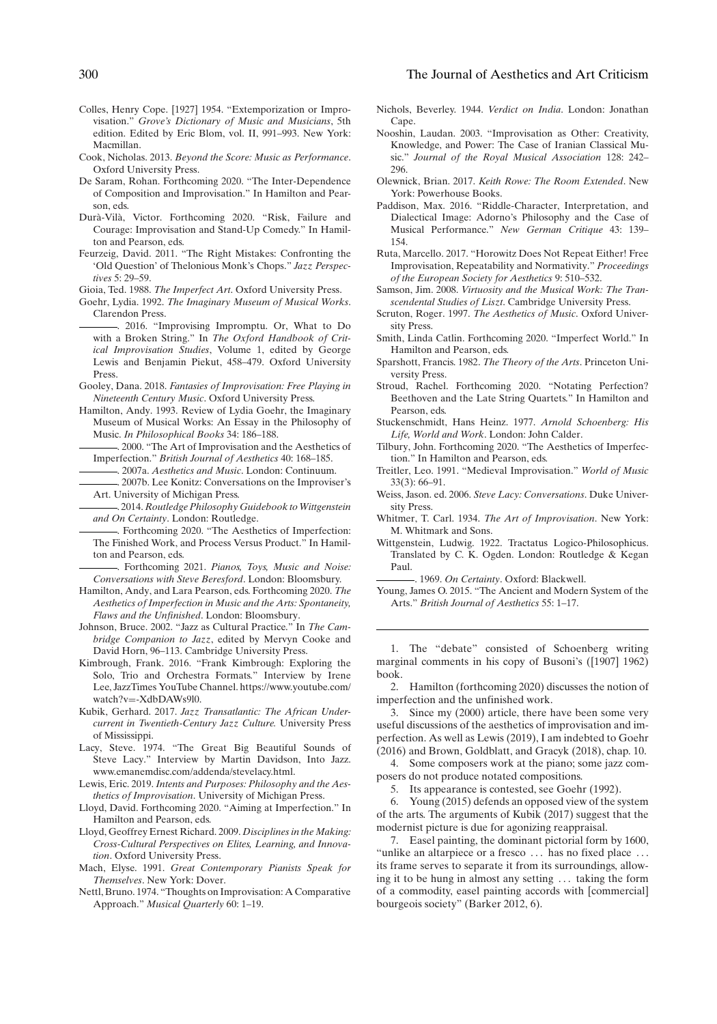- Colles, Henry Cope. [1927] 1954. "Extemporization or Improvisation." *Grove's Dictionary of Music and Musicians*, 5th edition. Edited by Eric Blom, vol. II, 991–993. New York: Macmillan.
- Cook, Nicholas. 2013. *Beyond the Score: Music as Performance*. Oxford University Press.
- De Saram, Rohan. Forthcoming 2020. "The Inter-Dependence of Composition and Improvisation." In Hamilton and Pearson, eds.
- Durà-Vilà, Victor. Forthcoming 2020. "Risk, Failure and Courage: Improvisation and Stand-Up Comedy." In Hamilton and Pearson, eds.
- Feurzeig, David. 2011. "The Right Mistakes: Confronting the 'Old Question' of Thelonious Monk's Chops." *Jazz Perspectives* 5: 29–59.
- Gioia, Ted. 1988. *The Imperfect Art*. Oxford University Press.
- Goehr, Lydia. 1992. *The Imaginary Museum of Musical Works*. Clarendon Press.
	- . 2016. "Improvising Impromptu. Or, What to Do with a Broken String." In *The Oxford Handbook of Critical Improvisation Studies*, Volume 1, edited by George Lewis and Benjamin Piekut, 458–479. Oxford University Press.
- Gooley, Dana. 2018. *Fantasies of Improvisation: Free Playing in Nineteenth Century Music*. Oxford University Press.
- Hamilton, Andy. 1993. Review of Lydia Goehr, the Imaginary Museum of Musical Works: An Essay in the Philosophy of Music. *In Philosophical Books* 34: 186–188.
	- . 2000. "The Art of Improvisation and the Aesthetics of Imperfection." *British Journal of Aesthetics* 40: 168–185.
	- . 2007a. *Aesthetics and Music*. London: Continuum.
	- . 2007b. Lee Konitz: Conversations on the Improviser's Art. University of Michigan Press.

. 2014. *Routledge Philosophy Guidebook toWittgenstein and On Certainty*. London: Routledge.

. Forthcoming 2020. "The Aesthetics of Imperfection: The Finished Work, and Process Versus Product." In Hamilton and Pearson, eds.

. Forthcoming 2021. *Pianos, Toys, Music and Noise: Conversations with Steve Beresford*. London: Bloomsbury.

- Hamilton, Andy, and Lara Pearson, eds. Forthcoming 2020. *The Aesthetics of Imperfection in Music and the Arts: Spontaneity, Flaws and the Unfinished*. London: Bloomsbury.
- Johnson, Bruce. 2002. "Jazz as Cultural Practice." In *The Cambridge Companion to Jazz*, edited by Mervyn Cooke and David Horn, 96–113. Cambridge University Press.
- Kimbrough, Frank. 2016. "Frank Kimbrough: Exploring the Solo, Trio and Orchestra Formats." Interview by Irene Lee, JazzTimes YouTube Channel. https://www.youtube.com/ watch?v=-XdbDAWs9l0.
- Kubik, Gerhard. 2017. *Jazz Transatlantic: The African Undercurrent in Twentieth-Century Jazz Culture.* University Press of Mississippi.
- Lacy, Steve. 1974. "The Great Big Beautiful Sounds of Steve Lacy." Interview by Martin Davidson, Into Jazz. www.emanemdisc.com/addenda/stevelacy.html.
- Lewis, Eric. 2019. *Intents and Purposes: Philosophy and the Aesthetics of Improvisation*. University of Michigan Press.
- Lloyd, David. Forthcoming 2020. "Aiming at Imperfection." In Hamilton and Pearson, eds.
- Lloyd, Geoffrey Ernest Richard. 2009. *Disciplines in the Making: Cross-Cultural Perspectives on Elites, Learning, and Innovation*. Oxford University Press.
- Mach, Elyse. 1991. *Great Contemporary Pianists Speak for Themselves*. New York: Dover.
- Nettl, Bruno. 1974. "Thoughts on Improvisation: A Comparative Approach." *Musical Quarterly* 60: 1–19.
- Nichols, Beverley. 1944. *Verdict on India*. London: Jonathan Cape.
- Nooshin, Laudan. 2003. "Improvisation as Other: Creativity, Knowledge, and Power: The Case of Iranian Classical Music." *Journal of the Royal Musical Association* 128: 242– 296.
- Olewnick, Brian. 2017. *Keith Rowe: The Room Extended*. New York: Powerhouse Books.
- Paddison, Max. 2016. "Riddle-Character, Interpretation, and Dialectical Image: Adorno's Philosophy and the Case of Musical Performance." *New German Critique* 43: 139– 154.
- Ruta, Marcello. 2017. "Horowitz Does Not Repeat Either! Free Improvisation, Repeatability and Normativity." *Proceedings of the European Society for Aesthetics* 9: 510–532.
- Samson, Jim. 2008. *Virtuosity and the Musical Work: The Transcendental Studies of Liszt*. Cambridge University Press.
- Scruton, Roger. 1997. *The Aesthetics of Music*. Oxford University Press.
- Smith, Linda Catlin. Forthcoming 2020. "Imperfect World." In Hamilton and Pearson, eds.
- Sparshott, Francis. 1982. *The Theory of the Arts*. Princeton University Press.
- Stroud, Rachel. Forthcoming 2020. "Notating Perfection? Beethoven and the Late String Quartets." In Hamilton and Pearson, eds.
- Stuckenschmidt, Hans Heinz. 1977. *Arnold Schoenberg: His Life, World and Work*. London: John Calder.
- Tilbury, John. Forthcoming 2020. "The Aesthetics of Imperfection." In Hamilton and Pearson, eds.
- Treitler, Leo. 1991. "Medieval Improvisation." *World of Music* 33(3): 66–91.
- Weiss, Jason. ed. 2006. *Steve Lacy: Conversations*. Duke University Press.
- Whitmer, T. Carl. 1934. *The Art of Improvisation*. New York: M. Whitmark and Sons.
- Wittgenstein, Ludwig. 1922. Tractatus Logico-Philosophicus. Translated by C. K. Ogden. London: Routledge & Kegan Paul.

. 1969. *On Certainty*. Oxford: Blackwell.

Young, James O. 2015. "The Ancient and Modern System of the Arts." *British Journal of Aesthetics* 55: 1–17.

1. The "debate" consisted of Schoenberg writing marginal comments in his copy of Busoni's ([1907] 1962) book.

2. Hamilton (forthcoming 2020) discusses the notion of imperfection and the unfinished work.

3. Since my (2000) article, there have been some very useful discussions of the aesthetics of improvisation and imperfection. As well as Lewis (2019), I am indebted to Goehr (2016) and Brown, Goldblatt, and Gracyk (2018), chap. 10.

4. Some composers work at the piano; some jazz composers do not produce notated compositions.

5. Its appearance is contested, see Goehr (1992).

6. Young (2015) defends an opposed view of the system of the arts. The arguments of Kubik (2017) suggest that the modernist picture is due for agonizing reappraisal.

7. Easel painting, the dominant pictorial form by 1600, "unlike an altarpiece or a fresco ... has no fixed place ... its frame serves to separate it from its surroundings, allowing it to be hung in almost any setting . . . taking the form of a commodity, easel painting accords with [commercial] bourgeois society" (Barker 2012, 6).